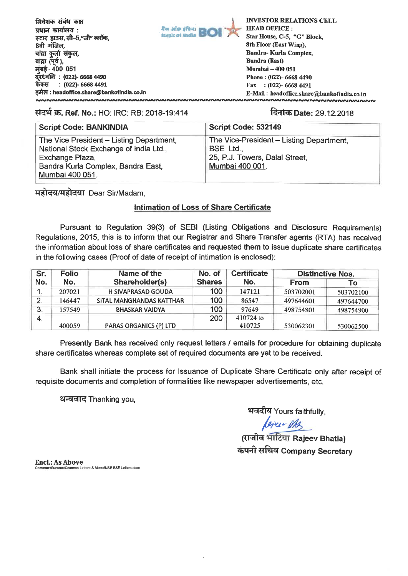

### **TI-44W. Ref. No.:** HO: IRC: RB: 2018-19:414 **ma Date:** 29.12.2018

| <b>Script Code: BANKINDIA</b>                                                                                                                                  | Script Code: 532149                                                                                        |
|----------------------------------------------------------------------------------------------------------------------------------------------------------------|------------------------------------------------------------------------------------------------------------|
| The Vice President - Listing Department,<br>National Stock Exchange of India Ltd.,<br>Exchange Plaza,<br>Bandra Kurla Complex, Bandra East,<br>Mumbai 400 051. | The Vice-President - Listing Department,<br>BSE Ltd.,<br>25, P.J. Towers, Dalal Street,<br>Mumbai 400 001. |

1:074:171:04EIT Dear Sir/Madam,

## **Intimation of Loss of Share Certificate**

Pursuant to Regulation 39(3) of SEBI (Listing Obligations and Disclosure Requirements) Regulations, 2015, this is to inform that our Registrar and Share Transfer agents (RTA) has received the information about loss of share certificates and requested them to issue duplicate share certificates in the following cases (Proof of date of receipt of intimation is enclosed):

| Sr.              | <b>Folio</b> | Name of the               | No. of        | <b>Certificate</b> | <b>Distinctive Nos.</b> |           |
|------------------|--------------|---------------------------|---------------|--------------------|-------------------------|-----------|
| No.              | No.          | Shareholder(s)            | <b>Shares</b> | No.                | <b>From</b>             | To        |
|                  | 207021       | <b>H SIVAPRASAD GOUDA</b> | 100           | 147121             | 503702001               | 503702100 |
| 2                | 146447       | SITAL MANGHANDAS KATTHAR  | 100           | 86547              | 497644601               | 497644700 |
| -3.              | 157549       | <b>BHASKAR VAIDYA</b>     | 100           | 97649              | 498754801               | 498754900 |
| $\overline{4}$ . |              |                           | 200           | 410724 to          |                         |           |
|                  | 400059       | PARAS ORGANICS (P) LTD    |               | 410725             | 530062301               | 530062500 |

Presently Bank has received only request letters / emails for procedure for obtaining duplicate share certificates whereas complete set of required documents are yet to be received.

Bank shall initiate the process for Issuance of Duplicate Share Certificate only after receipt of requisite documents and completion of formalities like newspaper advertisements, etc.

धन्यवाद Thanking you,

भवदीय Yours faithfully,

*(अंध = Mg)*<br>(राजीव भाटिया Rajeev Bhatia) **chg.11 ti**F**mici Company Secretary** 

**End.: As Above**  nmon Letters & MemoWSE BSE Letters.docx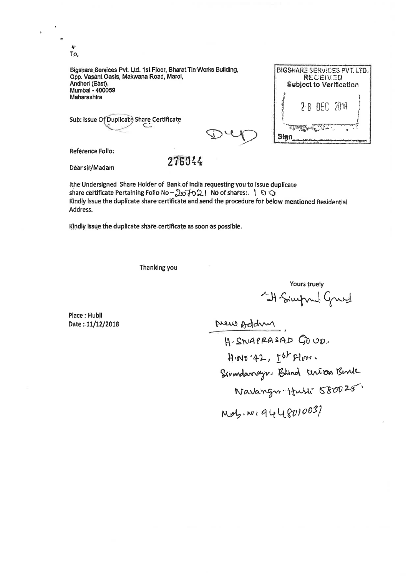**To,** 

**Bigshare Services Pvt. Ltd. lst Floor, Bharat Tin Works Building, Opp. Vasant Oasis, Makwana Road, Marol, Andheri (East), Mumbai - 400059 Maharashtra** 

**Sub: Issue Of Duplicate Share Certificate** 

BIGSHARE SERVICES PVT. LTD. **RECEIVED** Subject to Verification 2 A Sign

**Reference Folio:** 

## **Dear sir/Madam** 276044

Ithe **Undersigned Share Holder of Bank of** India requesting you to issue duplicate share certificate Pertaining Folio. No  $-\sqrt{2}$ <sub>0</sub>  $\rightarrow$  0  $\sqrt{2}$  | No of shares:. 1 0  $\sqrt{2}$ **Kindly issue the duplicate share certificate and send the procedure for below mentioned Residential Address.** 

**Kindly issue the duplicate share certificate as soon as possible.** 

**Thanking you** 

Yours truely rours truely<br>4 Simpond Gruel

**Place : Hubli** 

Date: 11/12/2018 **Meu Add** H-SWAPRASAD GOUD.  $H \cdot N0 \cdot 42$ ,  $L^{6}$  Floor. لابلا<br>م ,<br>ngv Itulli 58 Mol, Wi944801003)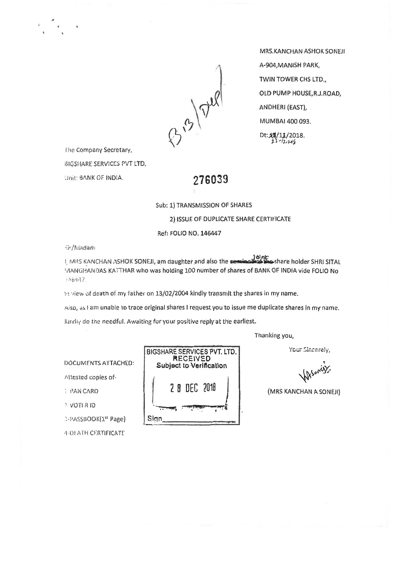

MRS.KANCHAN ASHOK SONEJI A-904, MANISH PARK, TWIN TOWER CHS LTD., OLD PUMP HOUSE R.J.ROAD. (EAST), MUMBAI 400 093. Dt:  $44/11/2018$ .<br>  $22/12/14/9$ 

he Company Secretary,

**BIGSHARE SERVICES PVT LTD,** 

:snit: BANK OF INDIA. **276039** 

Sub: 1) TRANSMISSION OF SHARES

2) ISSUE OF DUPLICATE CERTIFICATE

Ref: FOLIO NO. 146447

**Sir/Madam** 

ol nb.<br>MRS KANCHAN ASHOK SONEJI, am daughter and also the seminal espainashare holder SHRI SITAL با MANGHANDAS KATTHAR who was holding 100 number of shares of BANK OF INDIA vide FOLIO No ' 16117

14 view of death of my father on 13/02/2004 kindly transmit the shares in my name.

Aisp, as I am unable to trace original shares I request you to issue me duplicate shares in my name.

Kindly do the needful. Awaiting for your positive reply at the earliest.

Thanking you,,

Your Sincerely,

v When wy

(MRS KANCHAN A SONEJI)

DOCUMENTS.ATTACHED:

Attested copies of-

1 VOTI.R ID

3-PASSBOOK(1st Page) Sign

4-DI ATH.CERTIFICATE.

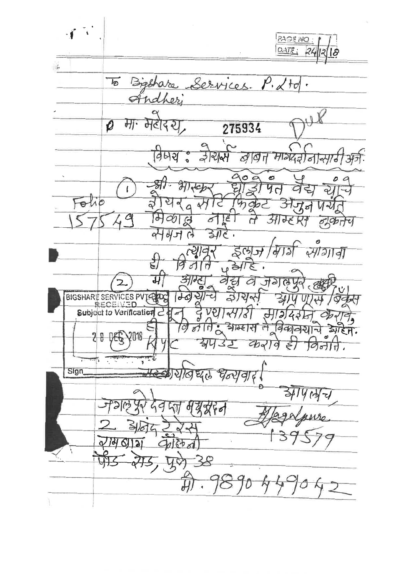$\mathcal{F}^{\mathcal{F}}$ **PAGE NO:**  $OAT_{1}$  $24|2|8$  $\frac{1}{2}$ Services.  $\overline{10}$ Breshare,  $P.$   $\measuredangle$  to  $\ddot{\phantom{0}}$ ndher  $\curvearrowleft$ V  $\alpha$ मा महादरम  $\overline{\rho}$ 275934 जेरारी विषय वीवित माग्दरीन  $\circ$ ඏ  $\circ$ 冢  $\overline{\mathcal{H}}$  $\overline{4}$  $\mathbf{I}$ Folio  $\partial$  $\mathcal{C}$ l q  $CO$  $G$ | ೬ | 7 Rt 6  $\mathcal{H}$  $\sigma$  $\sigma$ セ  $\alpha$  $d\mathcal{H}$  $\overline{\mathbf{31}}$  $\mathfrak{g}$  $\sqrt{3}$  $4/72/791$  $507$  $\mathcal{C}_{\mathcal{C}}$ Ę  $431$ 19 में वैद्य  $\mathfrak{S}_1$ 2919 で C BIGSHARE SERVICES PVTC  $\overline{d}$  $Q$ dd ೪  $H_2$ ഻഻഻഻഻഻ आम्ह।स विकानया  $\overline{\overline{\phantom{0}}}$  $811$ ro,  $\overline{r}$  $28$ 2018  $DE6$ 314 35  $Q_{pq}$  $\circ$ ⊱  $\overline{O}$  $\frac{1}{2}$ τ 'n Sign यालधर Goy 19, M ح  $\mathfrak{h}$ d 9 60  $\overline{\mathbf{c}}$  $Q/dQ$ ぐや  $\breve{\overline{\theta}}$  $\overline{\mathcal{W}}$ 10